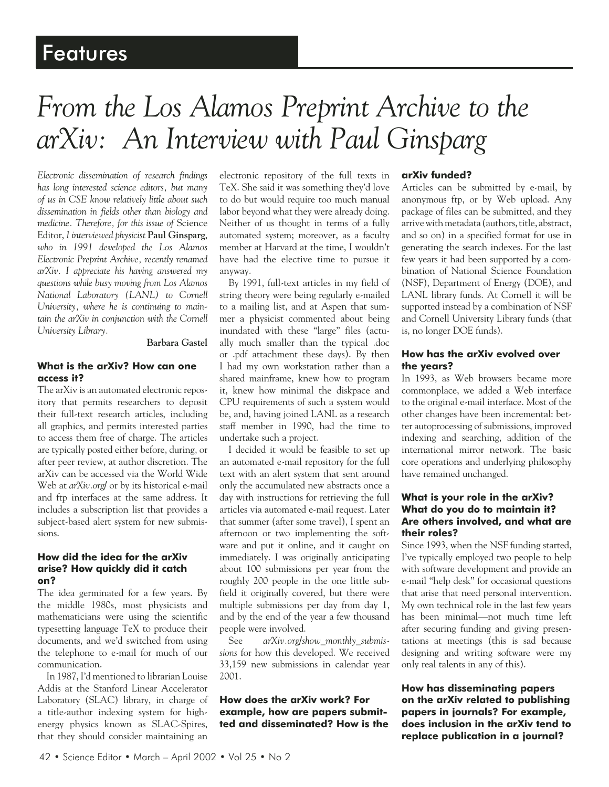## Features

# *From the Los Alamos Preprint Archive to the arXiv: An Interview with Paul Ginsparg*

*Electronic dissemination of research findings has long interested science editors, but many of us in CSE know relatively little about such dissemination in fields other than biology and medicine. Therefore, for this issue of* Science Editor, *I interviewed physicist* **Paul Ginsparg**, *who in 1991 developed the Los Alamos Electronic Preprint Archive, recently renamed arXiv. I appreciate his having answered my questions while busy moving from Los Alamos National Laboratory (LANL) to Cornell University, where he is continuing to maintain the arXiv in conjunction with the Cornell University Library.*

#### **Barbara Gastel**

#### **What is the arXiv? How can one access it?**

The arXiv is an automated electronic repository that permits researchers to deposit their full-text research articles, including all graphics, and permits interested parties to access them free of charge. The articles are typically posted either before, during, or after peer review, at author discretion. The arXiv can be accessed via the World Wide Web at *arXiv.org/* or by its historical e-mail and ftp interfaces at the same address. It includes a subscription list that provides a subject-based alert system for new submissions.

#### **How did the idea for the arXiv arise? How quickly did it catch on?**

The idea germinated for a few years. By the middle 1980s, most physicists and mathematicians were using the scientific typesetting language TeX to produce their documents, and we'd switched from using the telephone to e-mail for much of our communication.

In 1987, I'd mentioned to librarian Louise Addis at the Stanford Linear Accelerator Laboratory (SLAC) library, in charge of a title-author indexing system for highenergy physics known as SLAC-Spires, that they should consider maintaining an

electronic repository of the full texts in TeX. She said it was something they'd love to do but would require too much manual labor beyond what they were already doing. Neither of us thought in terms of a fully automated system; moreover, as a faculty member at Harvard at the time, I wouldn't have had the elective time to pursue it anyway.

By 1991, full-text articles in my field of string theory were being regularly e-mailed to a mailing list, and at Aspen that summer a physicist commented about being inundated with these "large" files (actually much smaller than the typical .doc or .pdf attachment these days). By then I had my own workstation rather than a shared mainframe, knew how to program it, knew how minimal the diskpace and CPU requirements of such a system would be, and, having joined LANL as a research staff member in 1990, had the time to undertake such a project.

I decided it would be feasible to set up an automated e-mail repository for the full text with an alert system that sent around only the accumulated new abstracts once a day with instructions for retrieving the full articles via automated e-mail request. Later that summer (after some travel), I spent an afternoon or two implementing the software and put it online, and it caught on immediately. I was originally anticipating about 100 submissions per year from the roughly 200 people in the one little subfield it originally covered, but there were multiple submissions per day from day 1, and by the end of the year a few thousand people were involved.

See *arXiv.org/show\_monthly\_submissions* for how this developed. We received 33,159 new submissions in calendar year 2001.

#### **How does the arXiv work? For example, how are papers submitted and disseminated? How is the**

#### **arXiv funded?**

Articles can be submitted by e-mail, by anonymous ftp, or by Web upload. Any package of files can be submitted, and they arrive with metadata (authors, title, abstract, and so on) in a specified format for use in generating the search indexes. For the last few years it had been supported by a combination of National Science Foundation (NSF), Department of Energy (DOE), and LANL library funds. At Cornell it will be supported instead by a combination of NSF and Cornell University Library funds (that is, no longer DOE funds).

#### **How has the arXiv evolved over the years?**

In 1993, as Web browsers became more commonplace, we added a Web interface to the original e-mail interface. Most of the other changes have been incremental: better autoprocessing of submissions, improved indexing and searching, addition of the international mirror network. The basic core operations and underlying philosophy have remained unchanged.

#### **What is your role in the arXiv? What do you do to maintain it? Are others involved, and what are their roles?**

Since 1993, when the NSF funding started, I've typically employed two people to help with software development and provide an e-mail "help desk" for occasional questions that arise that need personal intervention. My own technical role in the last few years has been minimal—not much time left after securing funding and giving presentations at meetings (this is sad because designing and writing software were my only real talents in any of this).

**How has disseminating papers on the arXiv related to publishing papers in journals? For example, does inclusion in the arXiv tend to replace publication in a journal?**